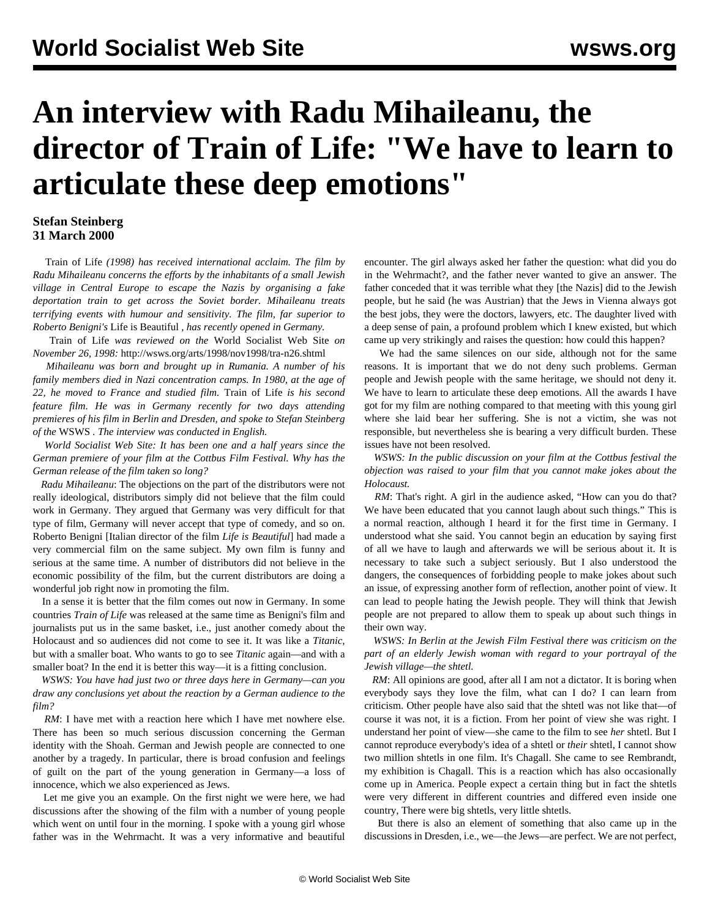## **An interview with Radu Mihaileanu, the director of Train of Life: "We have to learn to articulate these deep emotions"**

## **Stefan Steinberg 31 March 2000**

 Train of Life *(1998) has received international acclaim. The film by Radu Mihaileanu concerns the efforts by the inhabitants of a small Jewish village in Central Europe to escape the Nazis by organising a fake deportation train to get across the Soviet border. Mihaileanu treats terrifying events with humour and sensitivity. The film, far superior to Roberto Benigni's* Life is Beautiful *, has recently opened in Germany.*

 Train of Life *was reviewed on the* World Socialist Web Site *on November 26, 1998:* [http://wsws.org/arts/1998/nov1998/tra-n26.shtml](../../../arts/1998/nov1998/tra-n26.shtml)

 *Mihaileanu was born and brought up in Rumania. A number of his family members died in Nazi concentration camps. In 1980, at the age of 22, he moved to France and studied film.* Train of Life *is his second feature film. He was in Germany recently for two days attending premieres of his film in Berlin and Dresden, and spoke to Stefan Steinberg of the* WSWS *. The interview was conducted in English.*

 *World Socialist Web Site: It has been one and a half years since the German premiere of your film at the Cottbus Film Festival. Why has the German release of the film taken so long?*

 *Radu Mihaileanu*: The objections on the part of the distributors were not really ideological, distributors simply did not believe that the film could work in Germany. They argued that Germany was very difficult for that type of film, Germany will never accept that type of comedy, and so on. Roberto Benigni [Italian director of the film *Life is Beautiful*] had made a very commercial film on the same subject. My own film is funny and serious at the same time. A number of distributors did not believe in the economic possibility of the film, but the current distributors are doing a wonderful job right now in promoting the film.

 In a sense it is better that the film comes out now in Germany. In some countries *Train of Life* was released at the same time as Benigni's film and journalists put us in the same basket, i.e., just another comedy about the Holocaust and so audiences did not come to see it. It was like a *Titanic*, but with a smaller boat. Who wants to go to see *Titanic* again—and with a smaller boat? In the end it is better this way—it is a fitting conclusion.

 *WSWS: You have had just two or three days here in Germany—can you draw any conclusions yet about the reaction by a German audience to the film?*

*RM*: I have met with a reaction here which I have met nowhere else. There has been so much serious discussion concerning the German identity with the Shoah. German and Jewish people are connected to one another by a tragedy. In particular, there is broad confusion and feelings of guilt on the part of the young generation in Germany—a loss of innocence, which we also experienced as Jews.

 Let me give you an example. On the first night we were here, we had discussions after the showing of the film with a number of young people which went on until four in the morning. I spoke with a young girl whose father was in the Wehrmacht. It was a very informative and beautiful encounter. The girl always asked her father the question: what did you do in the Wehrmacht?, and the father never wanted to give an answer. The father conceded that it was terrible what they [the Nazis] did to the Jewish people, but he said (he was Austrian) that the Jews in Vienna always got the best jobs, they were the doctors, lawyers, etc. The daughter lived with a deep sense of pain, a profound problem which I knew existed, but which came up very strikingly and raises the question: how could this happen?

 We had the same silences on our side, although not for the same reasons. It is important that we do not deny such problems. German people and Jewish people with the same heritage, we should not deny it. We have to learn to articulate these deep emotions. All the awards I have got for my film are nothing compared to that meeting with this young girl where she laid bear her suffering. She is not a victim, she was not responsible, but nevertheless she is bearing a very difficult burden. These issues have not been resolved.

 *WSWS: In the public discussion on your film at the Cottbus festival the objection was raised to your film that you cannot make jokes about the Holocaust.*

*RM*: That's right. A girl in the audience asked, "How can you do that? We have been educated that you cannot laugh about such things." This is a normal reaction, although I heard it for the first time in Germany. I understood what she said. You cannot begin an education by saying first of all we have to laugh and afterwards we will be serious about it. It is necessary to take such a subject seriously. But I also understood the dangers, the consequences of forbidding people to make jokes about such an issue, of expressing another form of reflection, another point of view. It can lead to people hating the Jewish people. They will think that Jewish people are not prepared to allow them to speak up about such things in their own way.

 *WSWS: In Berlin at the Jewish Film Festival there was criticism on the part of an elderly Jewish woman with regard to your portrayal of the Jewish village—the shtetl.*

*RM*: All opinions are good, after all I am not a dictator. It is boring when everybody says they love the film, what can I do? I can learn from criticism. Other people have also said that the shtetl was not like that—of course it was not, it is a fiction. From her point of view she was right. I understand her point of view—she came to the film to see *her* shtetl. But I cannot reproduce everybody's idea of a shtetl or *their* shtetl, I cannot show two million shtetls in one film. It's Chagall. She came to see Rembrandt, my exhibition is Chagall. This is a reaction which has also occasionally come up in America. People expect a certain thing but in fact the shtetls were very different in different countries and differed even inside one country, There were big shtetls, very little shtetls.

 But there is also an element of something that also came up in the discussions in Dresden, i.e., we—the Jews—are perfect. We are not perfect,